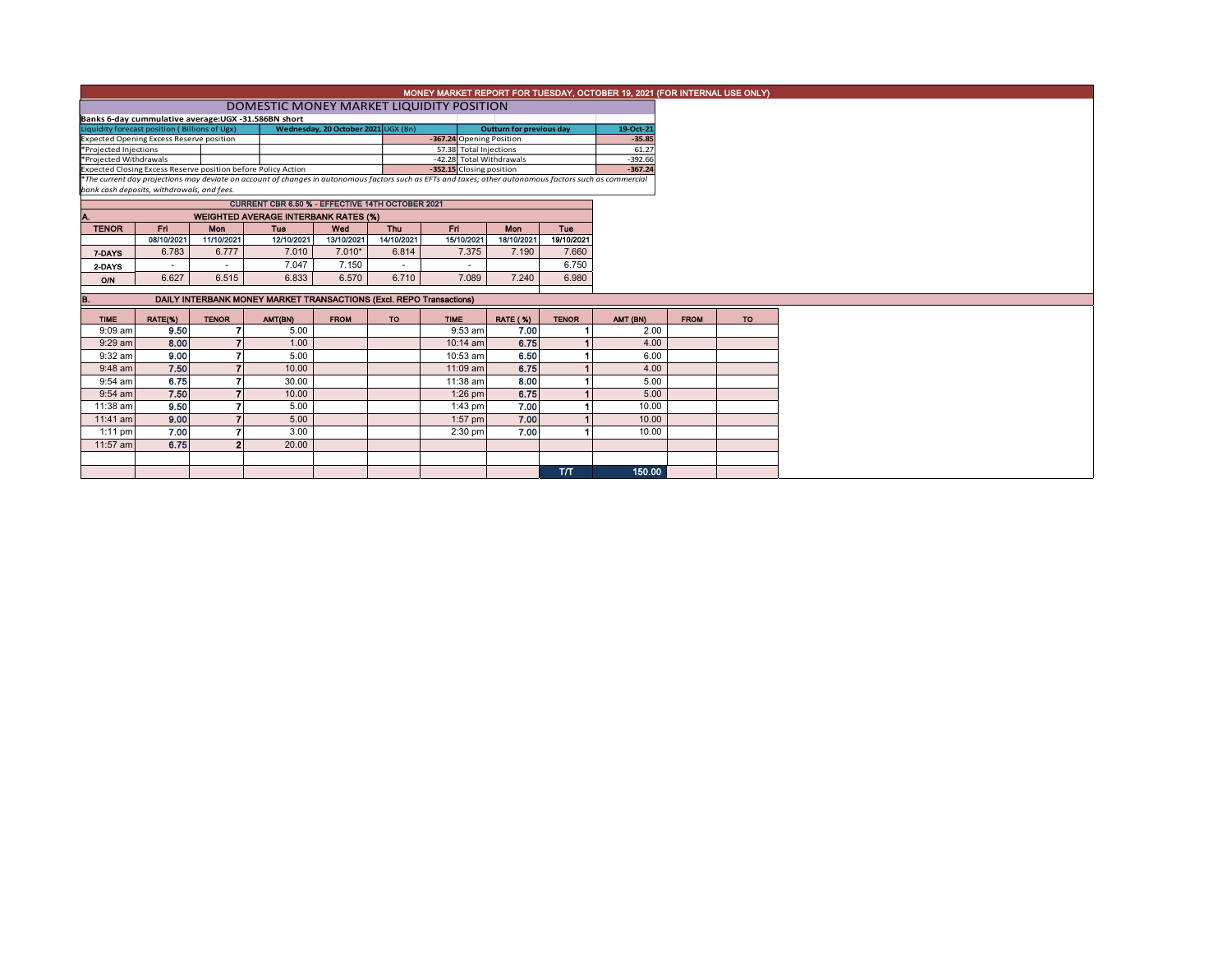|                                                                                                                                                          |                                                     |                |                                                                     |             |                          |                          |                                 |                        | MONEY MARKET REPORT FOR TUESDAY, OCTOBER 19, 2021 (FOR INTERNAL USE ONLY) |             |           |
|----------------------------------------------------------------------------------------------------------------------------------------------------------|-----------------------------------------------------|----------------|---------------------------------------------------------------------|-------------|--------------------------|--------------------------|---------------------------------|------------------------|---------------------------------------------------------------------------|-------------|-----------|
| DOMESTIC MONEY MARKET LIQUIDITY POSITION                                                                                                                 |                                                     |                |                                                                     |             |                          |                          |                                 |                        |                                                                           |             |           |
|                                                                                                                                                          | Banks 6-day cummulative average:UGX -31.586BN short |                |                                                                     |             |                          |                          |                                 |                        |                                                                           |             |           |
| Wednesday, 20 October 2021 UGX (Bn)<br>Liquidity forecast position (Billions of Ugx)                                                                     |                                                     |                |                                                                     |             |                          |                          | <b>Outturn for previous day</b> |                        | 19-Oct-21                                                                 |             |           |
|                                                                                                                                                          | <b>Expected Opening Excess Reserve position</b>     |                |                                                                     |             |                          | -367.24 Opening Position |                                 |                        | $-35.85$                                                                  |             |           |
| *Projected Injections                                                                                                                                    |                                                     |                |                                                                     |             |                          | 57.38 Total Injections   |                                 |                        | 61.27                                                                     |             |           |
| *Projected Withdrawals<br>Expected Closing Excess Reserve position before Policy Action                                                                  |                                                     |                |                                                                     |             | -42.28 Total Withdrawals |                          |                                 | $-392.66$<br>$-367.24$ |                                                                           |             |           |
| *The current day projections may deviate on account of changes in autonomous factors such as EFTs and taxes; other autonomous factors such as commercial |                                                     |                |                                                                     |             |                          | -352.15 Closing position |                                 |                        |                                                                           |             |           |
|                                                                                                                                                          | bank cash deposits, withdrawals, and fees.          |                |                                                                     |             |                          |                          |                                 |                        |                                                                           |             |           |
|                                                                                                                                                          |                                                     |                | CURRENT CBR 6.50 % - EFFECTIVE 14TH OCTOBER 2021                    |             |                          |                          |                                 |                        |                                                                           |             |           |
|                                                                                                                                                          |                                                     |                | <b>WEIGHTED AVERAGE INTERBANK RATES (%)</b>                         |             |                          |                          |                                 |                        |                                                                           |             |           |
| <b>TENOR</b>                                                                                                                                             | Fri I                                               | <b>Mon</b>     | <b>Tuo</b>                                                          | Wed         | Thu                      | Fri.                     | <b>Mon</b>                      | <b>Tuo</b>             |                                                                           |             |           |
|                                                                                                                                                          | 08/10/2021                                          | 11/10/2021     | 12/10/2021                                                          | 13/10/2021  | 14/10/2021               | 15/10/2021               | 18/10/2021                      | 19/10/2021             |                                                                           |             |           |
| 7-DAYS                                                                                                                                                   | 6.783                                               | 6.777          | 7.010                                                               | $7.010*$    | 6.814                    | 7.375                    | 7.190                           | 7.660                  |                                                                           |             |           |
| 2-DAYS                                                                                                                                                   |                                                     |                | 7.047                                                               | 7.150       |                          |                          |                                 | 6.750                  |                                                                           |             |           |
| <b>O/N</b>                                                                                                                                               | 6.627                                               | 6.515          | 6.833                                                               | 6.570       | 6.710                    | 7.089                    | 7.240                           | 6.980                  |                                                                           |             |           |
|                                                                                                                                                          |                                                     |                |                                                                     |             |                          |                          |                                 |                        |                                                                           |             |           |
| В.                                                                                                                                                       |                                                     |                | DAILY INTERBANK MONEY MARKET TRANSACTIONS (Excl. REPO Transactions) |             |                          |                          |                                 |                        |                                                                           |             |           |
| <b>TIME</b>                                                                                                                                              | RATE(%)                                             | <b>TENOR</b>   | AMT(BN)                                                             | <b>FROM</b> | <b>TO</b>                | <b>TIME</b>              | <b>RATE (%)</b>                 | <b>TENOR</b>           | AMT (BN)                                                                  | <b>FROM</b> | <b>TO</b> |
| $9:09$ am                                                                                                                                                | 9.50                                                |                | 5.00                                                                |             |                          | $9:53$ am                | 7.00                            |                        | 2.00                                                                      |             |           |
| $9:29$ am                                                                                                                                                | 8.00                                                |                | 1.00                                                                |             |                          | $10:14$ am               | 6.75                            |                        | 4.00                                                                      |             |           |
| $9:32$ am                                                                                                                                                | 9.00                                                | 7              | 5.00                                                                |             |                          | 10:53 am                 | 6.50                            |                        | 6.00                                                                      |             |           |
| $9:48$ am                                                                                                                                                | 7.50                                                |                | 10.00                                                               |             |                          | 11:09 am                 | 6.75                            |                        | 4.00                                                                      |             |           |
| $9:54$ am                                                                                                                                                | 6.75                                                |                | 30.00                                                               |             |                          | 11:38 am                 | 8.00                            |                        | 5.00                                                                      |             |           |
| $9:54$ am                                                                                                                                                | 7.50                                                |                | 10.00                                                               |             |                          | $1:26$ pm                | 6.75                            |                        | 5.00                                                                      |             |           |
| 11:38 am                                                                                                                                                 | 9.50                                                |                | 5.00                                                                |             |                          | $1:43$ pm                | 7.00                            |                        | 10.00                                                                     |             |           |
| $11:41$ am                                                                                                                                               | 9.00                                                | $\overline{ }$ | 5.00                                                                |             |                          | $1:57$ pm                | 7.00                            |                        | 10.00                                                                     |             |           |
| $1:11$ pm                                                                                                                                                | 7.00                                                |                | 3.00                                                                |             |                          | $2:30$ pm                | 7.00                            |                        | 10.00                                                                     |             |           |
| 11:57 am                                                                                                                                                 | 6.75                                                | $\overline{2}$ | 20.00                                                               |             |                          |                          |                                 |                        |                                                                           |             |           |
|                                                                                                                                                          |                                                     |                |                                                                     |             |                          |                          |                                 |                        |                                                                           |             |           |
|                                                                                                                                                          |                                                     |                |                                                                     |             |                          |                          |                                 | T/T                    | 150.00                                                                    |             |           |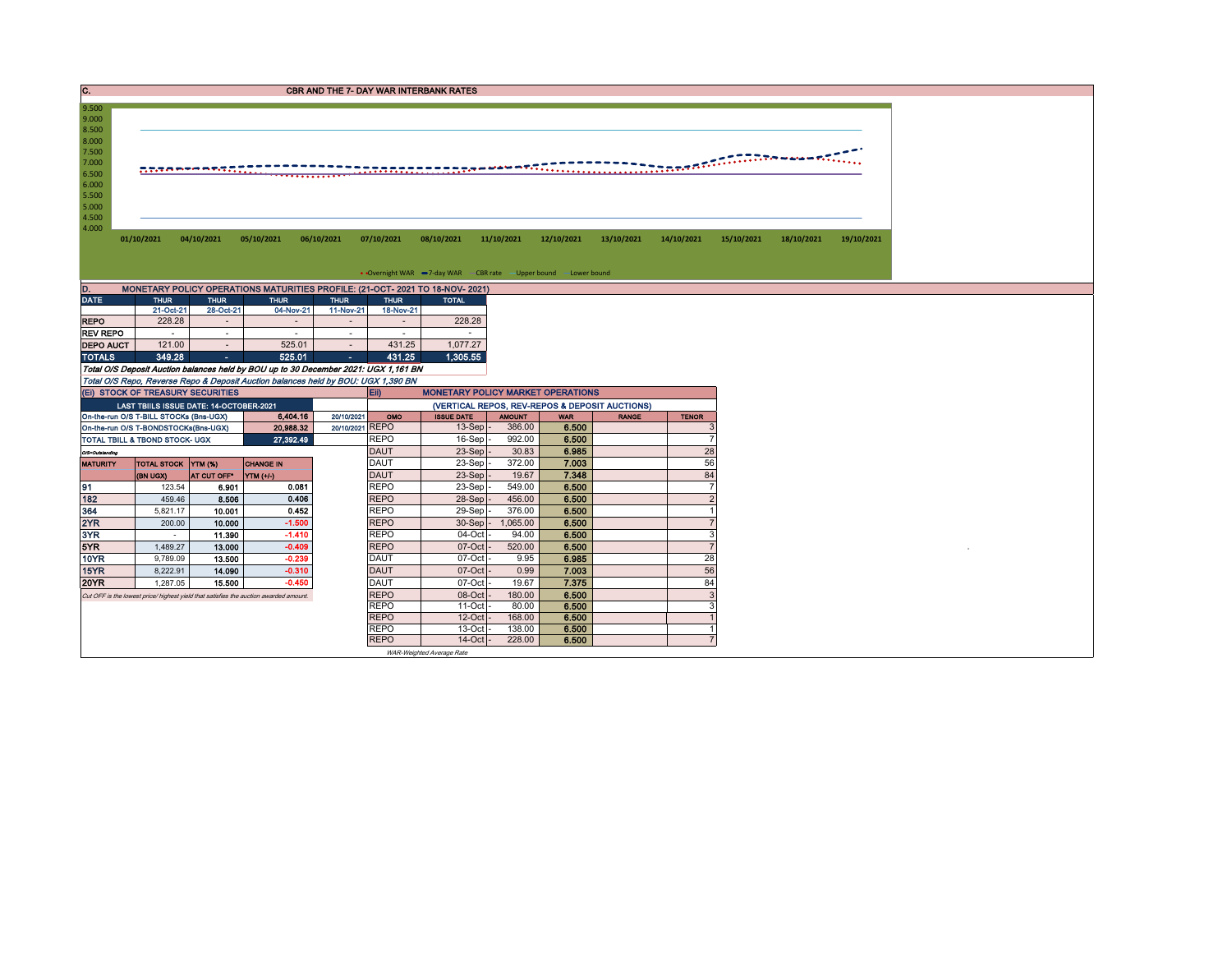| . . | <b>CBR AND THE 7- DAY WAR INTERBANK RATES</b> |
|-----|-----------------------------------------------|
|     |                                               |

| 9.500                                     |  |  |  |  |  |  |
|-------------------------------------------|--|--|--|--|--|--|
| 9.000                                     |  |  |  |  |  |  |
| 8.500                                     |  |  |  |  |  |  |
| 8.000                                     |  |  |  |  |  |  |
| 7.500                                     |  |  |  |  |  |  |
| 7.000                                     |  |  |  |  |  |  |
|                                           |  |  |  |  |  |  |
|                                           |  |  |  |  |  |  |
|                                           |  |  |  |  |  |  |
|                                           |  |  |  |  |  |  |
|                                           |  |  |  |  |  |  |
|                                           |  |  |  |  |  |  |
| 6.000<br>5.500<br>5.000<br>4.500<br>4.000 |  |  |  |  |  |  |

 $\bullet$  Overnight WAR  $\bullet$  7-day WAR CBR rate  $\bullet$  Upper bound  $\bullet$  Lower bound

| MONETARY POLICY OPERATIONS MATURITIES PROFILE: (21-OCT- 2021 TO 18-NOV- 2021)<br>D. |             |             |             |                |             |              |  |  |  |  |  |  |  |  |
|-------------------------------------------------------------------------------------|-------------|-------------|-------------|----------------|-------------|--------------|--|--|--|--|--|--|--|--|
| <b>DATE</b>                                                                         | <b>THUR</b> | <b>THUR</b> | <b>THUR</b> | <b>THUR</b>    | <b>THUR</b> | <b>TOTAL</b> |  |  |  |  |  |  |  |  |
|                                                                                     | 21-Oct-21   | 28-Oct-21   | 04-Nov-21   | 11-Nov-21      | 18-Nov-21   |              |  |  |  |  |  |  |  |  |
| REPO                                                                                | 228.28      |             |             | $\blacksquare$ | $\sim$      | 228.28       |  |  |  |  |  |  |  |  |
| REV REPO                                                                            |             |             |             | ۰              |             |              |  |  |  |  |  |  |  |  |
| <b>DEPO AUCT</b>                                                                    | 121.00      |             | 525.01      |                | 431.25      | 1.077.27     |  |  |  |  |  |  |  |  |

DEPO AUCT 121.00<br>
TOTALS 349.28 - 525.01 - 431.25 1,077.27<br>
Total O/S Deposit Auction balances held by BOU up to 30 December 2021: UGX 1,305 BY<br>
Total O/S Repo, Reverse Repo & Deposit Auction balances held by BOU: UGX 1,39

|                 | (EI) STOCK OF TREASURY SECURITIES       |                |                                                                                       | Eii)<br><b>MONETARY POLICY MARKET OPERATIONS</b> |                                                |                   |               |            |              |              |  |  |  |
|-----------------|-----------------------------------------|----------------|---------------------------------------------------------------------------------------|--------------------------------------------------|------------------------------------------------|-------------------|---------------|------------|--------------|--------------|--|--|--|
|                 | LAST TBIILS ISSUE DATE: 14-OCTOBER-2021 |                |                                                                                       |                                                  | (VERTICAL REPOS, REV-REPOS & DEPOSIT AUCTIONS) |                   |               |            |              |              |  |  |  |
|                 | On-the-run O/S T-BILL STOCKs (Bns-UGX)  |                | 6,404.16                                                                              | 20/10/2021                                       | OMO                                            | <b>ISSUE DATE</b> | <b>AMOUNT</b> | <b>WAR</b> | <b>RANGE</b> | <b>TENOR</b> |  |  |  |
|                 | On-the-run O/S T-BONDSTOCKs(Bns-UGX)    |                | 20,988.32                                                                             | 20/10/2021 REPO                                  |                                                | $13-Sep$ -        | 386.00        | 6.500      |              |              |  |  |  |
|                 | TOTAL TBILL & TBOND STOCK- UGX          |                | 27,392.49                                                                             |                                                  | <b>REPO</b>                                    | $16-Sep$ -        | 992.00        | 6.500      |              |              |  |  |  |
| O/S=Outstanding |                                         |                |                                                                                       |                                                  | <b>DAUT</b>                                    | $23-Sep$ -        | 30.83         | 6.985      |              | 28           |  |  |  |
| <b>MATURITY</b> | <b>TOTAL STOCK</b>                      | <b>YTM (%)</b> | <b>CHANGE IN</b>                                                                      |                                                  | DAUT                                           | 23-Sep-           | 372.00        | 7.003      |              | 56           |  |  |  |
|                 | (BN UGX)                                | AT CUT OFF"    | $YIM(+/)$                                                                             |                                                  | <b>DAUT</b>                                    | $23-Sep$ -        | 19.67         | 7.348      |              | 84           |  |  |  |
| 191             | 123.54                                  | 6.901          | 0.081                                                                                 |                                                  | <b>REPO</b>                                    | $23-Sep$          | 549.00        | 6.500      |              |              |  |  |  |
| 182             | 459.46                                  | 8.506          | 0.406                                                                                 |                                                  | <b>REPO</b>                                    | $28-Sep$ -        | 456.00        | 6.500      |              |              |  |  |  |
| 364             | 5,821.17                                | 10.001         | 0.452                                                                                 |                                                  | <b>REPO</b>                                    | $29-Sep$ -        | 376.00        | 6.500      |              |              |  |  |  |
| 2YR             | 200.00                                  | 10.000         | $-1.500$                                                                              |                                                  | <b>REPO</b>                                    | $30-Sep$ -        | 1.065.00      | 6.500      |              |              |  |  |  |
| 3YR             |                                         | 11.390         | $-1.410$                                                                              |                                                  | <b>REPO</b>                                    | 04-Oct -          | 94.00         | 6.500      |              |              |  |  |  |
| 5YR             | 1,489.27                                | 13.000         | $-0.409$                                                                              |                                                  | <b>REPO</b>                                    | $07$ -Oct         | 520.00        | 6.500      |              |              |  |  |  |
| 10YR            | 9,789.09                                | 13.500         | $-0.239$                                                                              |                                                  | <b>DAUT</b>                                    | $07$ -Oct $-$     | 9.95          | 6.985      |              | 28           |  |  |  |
| 15YR            | 8.222.91                                | 14.090         | $-0.310$                                                                              |                                                  | <b>DAUT</b>                                    | $07-Cct$ -        | 0.99          | 7.003      |              | 56           |  |  |  |
| <b>20YR</b>     | 1.287.05                                | 15.500         | $-0.450$                                                                              |                                                  | <b>DAUT</b>                                    | $07$ -Oct $-$     | 19.67         | 7.375      |              | 84           |  |  |  |
|                 |                                         |                | Cut OFF is the lowest price/ highest yield that satisfies the auction awarded amount. |                                                  | <b>REPO</b>                                    | $08$ -Oct $-$     | 180.00        | 6.500      |              |              |  |  |  |
|                 |                                         |                |                                                                                       |                                                  | <b>REPO</b>                                    | $11$ -Oct $-$     | 80.00         | 6.500      |              |              |  |  |  |
|                 |                                         |                |                                                                                       |                                                  | <b>REPO</b>                                    | $12$ -Oct $-$     | 168.00        | 6.500      |              |              |  |  |  |
|                 |                                         |                |                                                                                       |                                                  | <b>REPO</b>                                    | $13$ -Oct -       | 138.00        | 6.500      |              |              |  |  |  |
|                 |                                         |                |                                                                                       |                                                  | <b>REPO</b>                                    | $14$ -Oct $-$     | 228.00        | 6.500      |              |              |  |  |  |
|                 | WAR-Weighted Average Rate               |                |                                                                                       |                                                  |                                                |                   |               |            |              |              |  |  |  |